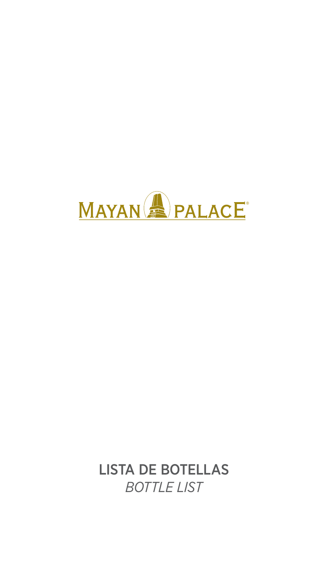

### LISTA DE BOTELLAS

## *BOTTLE LIST*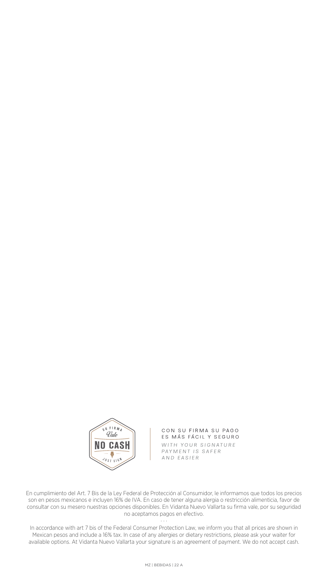

CON SU FIRMA SU PAGO ES MÁS FÁCIL Y SEGURO WITH YOUR SIGNATURE PAYMENT IS SAFER AND EASIER

En cumplimiento del Art. 7 Bis de la Ley Federal de Protección al Consumidor, le informamos que todos los precios son en pesos mexicanos e incluyen 16% de IVA. En caso de tener alguna alergia o restricción alimenticia, favor de consultar con su mesero nuestras opciones disponibles. En Vidanta Nuevo Vallarta su firma vale, por su seguridad no aceptamos pagos en efectivo.

 $\mathbf{r}$   $\mathbf{r}$   $\mathbf{r}$ 

In accordance with art 7 bis of the Federal Consumer Protection Law, we inform you that all prices are shown in Mexican pesos and include a 16% tax. In case of any allergies or dietary restrictions, please ask your waiter for available options. At Vidanta Nuevo Vallarta your signature is an agreement of payment. We do not accept cash.

MZ | BEBIDAS | 22 A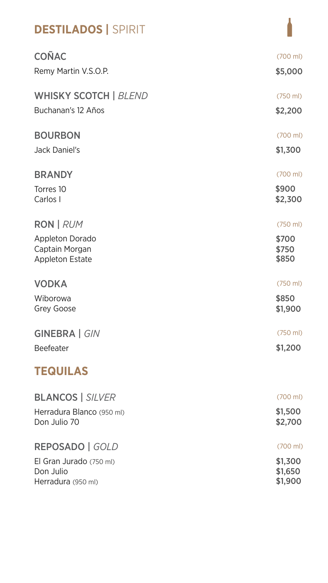| <b>DESTILADOS   SPIRIT</b>                                         |                         |
|--------------------------------------------------------------------|-------------------------|
| COÑAC                                                              | $(700 \text{ ml})$      |
| Remy Martin V.S.O.P.                                               | \$5,000                 |
| <b>WHISKY SCOTCH   BLEND</b>                                       | $(750 \text{ ml})$      |
| Buchanan's 12 Años                                                 | \$2,200                 |
| <b>BOURBON</b>                                                     | $(700 \text{ ml})$      |
| <b>Jack Daniel's</b>                                               | \$1,300                 |
| <b>BRANDY</b>                                                      | $(700 \text{ ml})$      |
| Torres 10<br>Carlos I                                              | \$900<br>\$2,300        |
| RON   RUM                                                          | $(750 \text{ ml})$      |
| <b>Appleton Dorado</b><br>Captain Morgan<br><b>Appleton Estate</b> | \$700<br>\$750<br>\$850 |
| <b>VODKA</b>                                                       | $(750 \text{ ml})$      |
| Wiborowa<br><b>Grey Goose</b>                                      | \$850<br>\$1,900        |
| GINEBRA   GIN                                                      | $(750 \text{ ml})$      |
| <b>Beefeater</b>                                                   | \$1,200                 |
| <b>TEQUILAS</b>                                                    |                         |
| <b>BLANCOS   SILVER</b>                                            | $(700 \text{ ml})$      |
| Herradura Blanco (950 ml)<br>Don Julio 70                          | \$1,500<br>\$2,700      |
| REPOSADO   GOLD                                                    | $(700 \text{ ml})$      |
| El Gran Jurado (750 ml)<br>Don Julio                               | \$1,300<br>\$1,650      |

#### Herradura (950 ml)